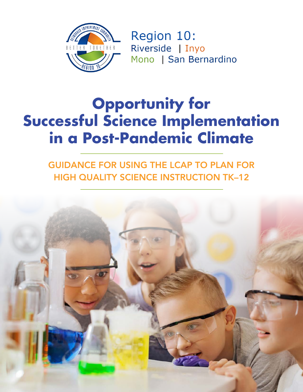

Region 10: Riverside | Inyo Mono | San Bernardino

# **Opportunity for Successful Science Implementation in a Post-Pandemic Climate**

GUIDANCE FOR USING THE LCAP TO PLAN FOR HIGH QUALITY SCIENCE INSTRUCTION TK–12

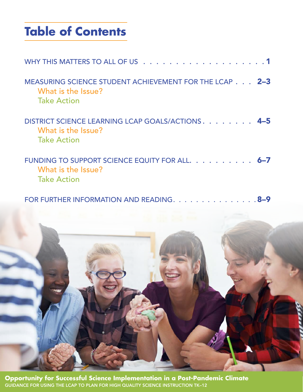# **Table of Contents**

| MEASURING SCIENCE STUDENT ACHIEVEMENT FOR THE LCAP 2-3<br>What is the Issue?<br><b>Take Action</b> |
|----------------------------------------------------------------------------------------------------|
| DISTRICT SCIENCE LEARNING LCAP GOALS/ACTIONS 4-5<br>What is the Issue?<br><b>Take Action</b>       |
| FUNDING TO SUPPORT SCIENCE EQUITY FOR ALL. 6-7<br>What is the Issue?<br><b>Take Action</b>         |

FOR FURTHER INFORMATION AND READING. . . . . . . . . . . . . . . 8-9



**Opportunity for Successful Science Implementation in a Post-Pandemic Climate** GUIDANCE FOR USING THE LCAP TO PLAN FOR HIGH QUALITY SCIENCE INSTRUCTION TK–12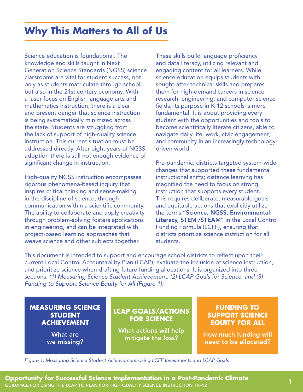### <span id="page-2-0"></span>**Why This Matters to All of Us**

Science education is foundational. The knowledge and skills taught in Next Generation Science Standards (NGSS) science classrooms are vital for student success, not only as students matriculate through school, but also in the 21st century economy. With a laser focus on English language arts and mathematics instruction, there is a clear and present danger that science instruction is being systematically minimized across the state. Students are struggling from the lack of support of high-quality science instruction. This current situation must be addressed directly. After eight years of NGSS adoption there is still not enough evidence of significant change in instruction.

High-quality NGSS instruction encompasses rigorous phenomena-based inquiry that inspires critical thinking and sense-making in the discipline of science, through communication within a scientific community. The ability to collaborate and apply creativity through problem-solving fosters applications in engineering, and can be integrated with project-based learning approaches that weave science and other subjects together.

These skills build language proficiency and data literacy, utilizing relevant and engaging content for all learners. While science education equips students with sought-after technical skills and prepares them for high-demand careers in science research, engineering, and computer science fields, its purpose in K-12 schools is more fundamental. It is about providing every student with the opportunities and tools to become scientifically literate citizens, able to navigate daily life, work, civic engagement, and community in an increasingly technologydriven world.

Pre-pandemic, districts targeted system-wide changes that supported these fundamental instructional shifts; distance learning has magnified the need to focus on strong instruction that supports every student. This requires deliberate, measurable goals and equitable actions that explicitly utilize the terms "Science, NGSS, Environmental Literacy, STEM /STEAM" in the Local Control Funding Formula (LCFF), ensuring that districts prioritize science instruction for all students.

This document is intended to support and encourage school districts to reflect upon their current Local Control Accountability Plan (LCAP), evaluate the inclusion of science instruction, and prioritize science when drafting future funding allocations. It is organized into three sections: *(1) Measuring Science Student Achievement, (2) LCAP Goals for Science, and (3) Funding to Support Science Equity for All (Figure 1).* 

#### **MEASURING SCIENCE STUDENT ACHIEVEMENT**

What are we missing?

### **LCAP GOALS/ACTIONS FOR SCIENCE**

What actions will help mitigate the loss?

#### **FUNDING TO SUPPORT SCIENCE EQUITY FOR ALL**

How much funding will need to be allocated?

*Figure 1: Measuring Science Student Achievement Using LCFF Investments and LCAP Goals*

**Opportunity for Successful Science Implementation in a Post-Pandemic Climate** GUIDANCE FOR USING THE LCAP TO PLAN FOR HIGH QUALITY SCIENCE INSTRUCTION TK–12 **1**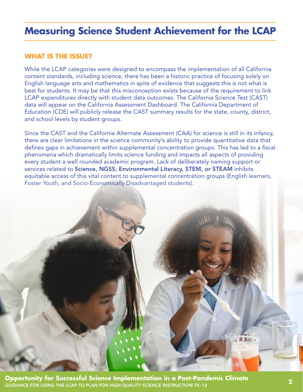### <span id="page-3-0"></span>**Measuring Science Student Achievement for the LCAP**

#### **WHAT IS THE ISSUE?**

While the LCAP categories were designed to encompass the implementation of all California content standards, including science, there has been a historic practice of focusing solely on English language arts and mathematics in spite of evidence that suggests this is not what is best for students. It may be that this misconception exists because of the requirement to link LCAP expenditures directly with student data outcomes. The California Science Test (CAST) data will appear on the California Assessment Dashboard. The California Department of Education (CDE) will publicly release the CAST summary results for the state, county, district, and school levels by student groups.

Since the CAST and the California Alternate Assessment (CAA) for science is still in its infancy, there are clear limitations in the science community's ability to provide quantitative data that defines gaps in achievement within supplemental concentration groups. This has led to a fiscal phenomena which dramatically limits science funding and impacts all aspects of providing every student a well rounded academic program. Lack of deliberately naming support or services related to Science, NGSS, Environmental Literacy, STEM, or STEAM inhibits equitable access of this vital content to supplemental concentration groups (English learners, Foster Youth, and Socio-Economically Disadvantaged students).

**Opportunity for Successful Science Implementation in a Post-Pandemic Climate** GUIDANCE FOR USING THE LCAP TO PLAN FOR HIGH QUALITY SCIENCE INSTRUCTION TK–12 **2**

**武道部**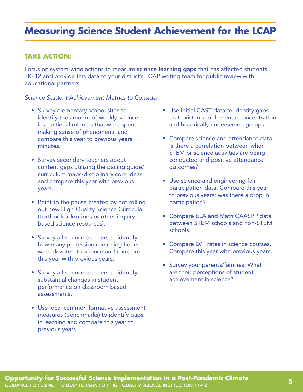### **Measuring Science Student Achievement for the LCAP**

#### **TAKE ACTION:**

Focus on system-wide actions to measure **science learning gaps** that has affected students TK–12 and provide this data to your district's LCAP writing team for public review with educational partners.

#### *Science Student Achievement Metrics to Conside*r:

- Survey elementary school sites to identify the amount of weekly science instructional minutes that were spent making sense of phenomena, and compare this year to previous years' minutes.
- Survey secondary teachers about content gaps utilizing the pacing guide/ curriculum maps/disciplinary core ideas and compare this year with previous years.
- Point to the pause created by not rolling out new High-Quality Science Curricula (textbook adoptions or other inquiry based science resources).
- Survey all science teachers to identify how many professional learning hours were devoted to science and compare this year with previous years.
- Survey all science teachers to identify substantial changes in student performance on classroom based assessments.
- Use local common formative assessment measures (benchmarks) to identify gaps in learning and compare this year to previous years.
- Use initial CAST data to identify gaps that exist in supplemental concentration and historically underserved groups.
- Compare science and attendance data. Is there a correlation between when STEM or science activities are being conducted and positive attendance outcomes?
- Use science and engineering fair participation data. Compare this year to previous years; was there a drop in participation?
- Compare ELA and Math CAASPP data between STEM schools and non-STEM schools.
- Compare D/F rates in science courses. Compare this year with previous years.
- Survey your parents/families. What are their perceptions of student achievement in science?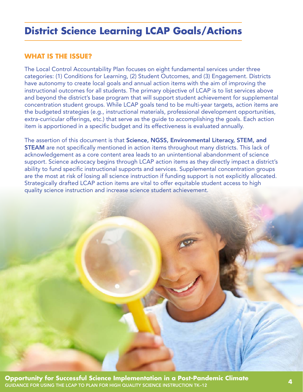### <span id="page-5-0"></span>**District Science Learning LCAP Goals/Actions**

### **WHAT IS THE ISSUE?**

The Local Control Accountability Plan focuses on eight fundamental services under three categories: (1) Conditions for Learning, (2) Student Outcomes, and (3) Engagement. Districts have autonomy to create local goals and annual action items with the aim of improving the instructional outcomes for all students. The primary objective of LCAP is to list services above and beyond the district's base program that will support student achievement for supplemental concentration student groups. While LCAP goals tend to be multi-year targets, action items are the budgeted strategies (e.g., instructional materials, professional development opportunities, extra-curricular offerings, etc.) that serve as the guide to accomplishing the goals. Each action item is apportioned in a specific budget and its effectiveness is evaluated annually.

The assertion of this document is that Science, NGSS, Environmental Literacy, STEM, and STEAM are not specifically mentioned in action items throughout many districts. This lack of acknowledgement as a core content area leads to an unintentional abandonment of science support. Science advocacy begins through LCAP action items as they directly impact a district's ability to fund specific instructional supports and services. Supplemental concentration groups are the most at risk of losing all science instruction if funding support is not explicitly allocated. Strategically drafted LCAP action items are vital to offer equitable student access to high quality science instruction and increase science student achievement.

**Opportunity for Successful Science Implementation in a Post-Pandemic Climate** GUIDANCE FOR USING THE LCAP TO PLAN FOR HIGH QUALITY SCIENCE INSTRUCTION TK–12 **4**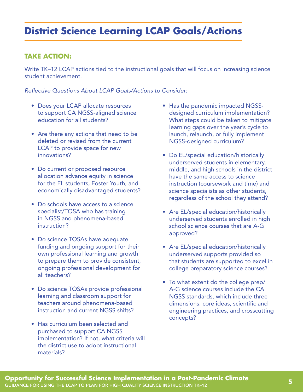# **District Science Learning LCAP Goals/Actions**

### **TAKE ACTION:**

Write TK–12 LCAP actions tied to the instructional goals that will focus on increasing science student achievement.

#### *Reflective Questions About LCAP Goals/Actions to Consider*:

- Does your LCAP allocate resources to support CA NGSS-aligned science education for all students?
- Are there any actions that need to be deleted or revised from the current LCAP to provide space for new innovations?
- Do current or proposed resource allocation advance equity in science for the EL students, Foster Youth, and economically disadvantaged students?
- Do schools have access to a science specialist/TOSA who has training in NGSS and phenomena-based instruction?
- Do science TOSAs have adequate funding and ongoing support for their own professional learning and growth to prepare them to provide consistent, ongoing professional development for all teachers?
- Do science TOSAs provide professional learning and classroom support for teachers around phenomena-based instruction and current NGSS shifts?
- Has curriculum been selected and purchased to support CA NGSS implementation? If not, what criteria will the district use to adopt instructional materials?
- Has the pandemic impacted NGSSdesigned curriculum implementation? What steps could be taken to mitigate learning gaps over the year's cycle to launch, relaunch, or fully implement NGSS-designed curriculum?
- Do EL/special education/historically underserved students in elementary, middle, and high schools in the district have the same access to science instruction (coursework and time) and science specialists as other students, regardless of the school they attend?
- Are EL/special education/historically underserved students enrolled in high school science courses that are A-G approved?
- Are EL/special education/historically underserved supports provided so that students are supported to excel in college preparatory science courses?
- To what extent do the college prep/ A-G science courses include the CA NGSS standards, which include three dimensions: core ideas, scientific and engineering practices, and crosscutting concepts?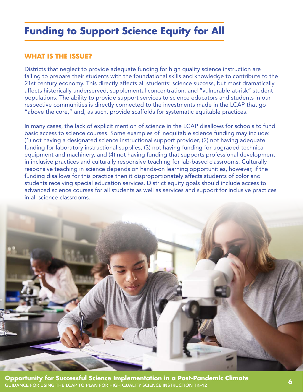# <span id="page-7-0"></span>**Funding to Support Science Equity for All**

### **WHAT IS THE ISSUE?**

Districts that neglect to provide adequate funding for high quality science instruction are failing to prepare their students with the foundational skills and knowledge to contribute to the 21st century economy. This directly affects all students' science success, but most dramatically affects historically underserved, supplemental concentration, and "vulnerable at-risk" student populations. The ability to provide support services to science educators and students in our respective communities is directly connected to the investments made in the LCAP that go "above the core," and, as such, provide scaffolds for systematic equitable practices.

In many cases, the lack of explicit mention of science in the LCAP disallows for schools to fund basic access to science courses. Some examples of inequitable science funding may include: (1) not having a designated science instructional support provider, (2) not having adequate funding for laboratory instructional supplies, (3) not having funding for upgraded technical equipment and machinery, and (4) not having funding that supports professional development in inclusive practices and culturally responsive teaching for lab-based classrooms. Culturally responsive teaching in science depends on hands-on learning opportunities, however, if the funding disallows for this practice then it disproportionately affects students of color and students receiving special education services. District equity goals should include access to advanced science courses for all students as well as services and support for inclusive practices in all science classrooms.



**Opportunity for Successful Science Implementation in a Post-Pandemic Climate** GUIDANCE FOR USING THE LCAP TO PLAN FOR HIGH QUALITY SCIENCE INSTRUCTION TK–12 **6**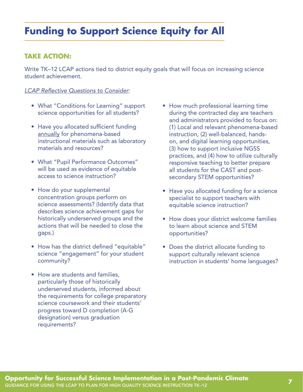# **Funding to Support Science Equity for All**

### **TAKE ACTION:**

Write TK–12 LCAP actions tied to district equity goals that will focus on increasing science student achievement.

#### *LCAP Reflective Questions to Consider*:

- What "Conditions for Learning" support science opportunities for all students?
- Have you allocated sufficient funding annually for phenomena-based instructional materials such as laboratory materials and resources?
- What "Pupil Performance Outcomes" will be used as evidence of equitable access to science instruction?
- How do your supplemental concentration groups perform on science assessments? (Identify data that describes science achievement gaps for historically underserved groups and the actions that will be needed to close the gaps.)
- How has the district defined "equitable" science "engagement" for your student community?
- How are students and families, particularly those of historically underserved students, informed about the requirements for college preparatory science coursework and their students' progress toward D completion (A-G designation) versus graduation requirements?
- How much professional learning time during the contracted day are teachers and administrators provided to focus on: (1) Local and relevant phenomena-based instruction, (2) well-balanced, handson, and digital learning opportunities, (3) how to support inclusive NGSS practices, and (4) how to utilize culturally responsive teaching to better prepare all students for the CAST and postsecondary STEM opportunities?
- Have you allocated funding for a science specialist to support teachers with equitable science instruction?
- How does your district welcome families to learn about science and STEM opportunities?
- Does the district allocate funding to support culturally relevant science instruction in students' home languages?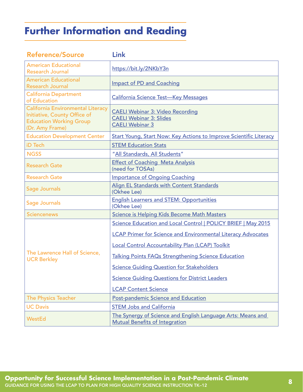# <span id="page-9-0"></span>**Further Information and Reading**

| <b>Reference/Source</b>                                                                                                | Link                                                                                                 |
|------------------------------------------------------------------------------------------------------------------------|------------------------------------------------------------------------------------------------------|
| <b>American Educational</b><br><b>Research Journal</b>                                                                 | https://bit.ly/2NKbY3n                                                                               |
| <b>American Educational</b><br><b>Research Journal</b>                                                                 | <b>Impact of PD and Coaching</b>                                                                     |
| <b>California Department</b><br>of Education                                                                           | <b>California Science Test-Key Messages</b>                                                          |
| California Environmental Literacy<br>Initiative, County Office of<br><b>Education Working Group</b><br>(Dr. Amy Frame) | <b>CAELI Webinar 3: Video Recording</b><br><b>CAELI Webinar 3: Slides</b><br><b>CAELI Webinar 3</b>  |
| <b>Education Development Center</b>                                                                                    | <b>Start Young, Start Now: Key Actions to Improve Scientific Literacy</b>                            |
| iD Tech                                                                                                                | <b>STEM Education Stats</b>                                                                          |
| <b>NGSS</b>                                                                                                            | "All Standards, All Students"                                                                        |
| <b>Research Gate</b>                                                                                                   | <b>Effect of Coaching Meta Analysis</b><br>(need for TOSAs)                                          |
| <b>Research Gate</b>                                                                                                   | <b>Importance of Ongoing Coaching</b>                                                                |
| Sage Journals                                                                                                          | Align EL Standards with Content Standards<br>(Okhee Lee)                                             |
| Sage Journals                                                                                                          | <b>English Learners and STEM: Opportunities</b><br>(Okhee Lee)                                       |
| <b>Sciencenews</b>                                                                                                     | <b>Science is Helping Kids Become Math Masters</b>                                                   |
| The Lawrence Hall of Science,<br><b>UCR Berkley</b>                                                                    | Science Education and Local Control   POLICY BRIEF   May 2015                                        |
|                                                                                                                        | <b>LCAP Primer for Science and Environmental Literacy Advocates</b>                                  |
|                                                                                                                        | <b>Local Control Accountability Plan (LCAP) Toolkit</b>                                              |
|                                                                                                                        | <b>Talking Points FAQs Strengthening Science Education</b>                                           |
|                                                                                                                        | <b>Science Guiding Question for Stakeholders</b>                                                     |
|                                                                                                                        | <b>Science Guiding Questions for District Leaders</b>                                                |
|                                                                                                                        | <b>LCAP Content Science</b>                                                                          |
| <b>The Physics Teacher</b>                                                                                             | <b>Post-pandemic Science and Education</b>                                                           |
| <b>UC Davis</b>                                                                                                        | <b>STEM Jobs and California</b>                                                                      |
| <b>WestEd</b>                                                                                                          | The Synergy of Science and English Language Arts: Means and<br><b>Mutual Benefits of Integration</b> |